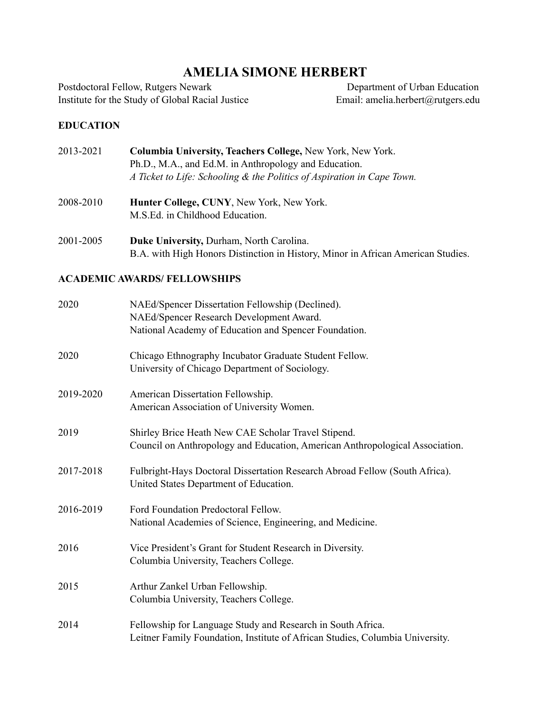# **AMELIA SIMONE HERBERT**

Postdoctoral Fellow, Rutgers Newark Institute for the Study of Global Racial Justice

 Department of Urban Education Email: amelia.herbert@rutgers.edu

## **EDUCATION**

| 2013-2021 | <b>Columbia University, Teachers College, New York, New York.</b>      |
|-----------|------------------------------------------------------------------------|
|           | Ph.D., M.A., and Ed.M. in Anthropology and Education.                  |
|           | A Ticket to Life: Schooling & the Politics of Aspiration in Cape Town. |

- 2008-2010 **Hunter College, CUNY**, New York, New York. M.S.Ed. in Childhood Education.
- 2001-2005 **Duke University,** Durham, North Carolina. B.A. with High Honors Distinction in History, Minor in African American Studies.

# **ACADEMIC AWARDS/ FELLOWSHIPS**

| 2020      | NAEd/Spencer Dissertation Fellowship (Declined).<br>NAEd/Spencer Research Development Award.<br>National Academy of Education and Spencer Foundation. |
|-----------|-------------------------------------------------------------------------------------------------------------------------------------------------------|
| 2020      | Chicago Ethnography Incubator Graduate Student Fellow.<br>University of Chicago Department of Sociology.                                              |
| 2019-2020 | American Dissertation Fellowship.<br>American Association of University Women.                                                                        |
| 2019      | Shirley Brice Heath New CAE Scholar Travel Stipend.<br>Council on Anthropology and Education, American Anthropological Association.                   |
| 2017-2018 | Fulbright-Hays Doctoral Dissertation Research Abroad Fellow (South Africa).<br>United States Department of Education.                                 |
| 2016-2019 | Ford Foundation Predoctoral Fellow.<br>National Academies of Science, Engineering, and Medicine.                                                      |
| 2016      | Vice President's Grant for Student Research in Diversity.<br>Columbia University, Teachers College.                                                   |
| 2015      | Arthur Zankel Urban Fellowship.<br>Columbia University, Teachers College.                                                                             |
| 2014      | Fellowship for Language Study and Research in South Africa.<br>Leitner Family Foundation, Institute of African Studies, Columbia University.          |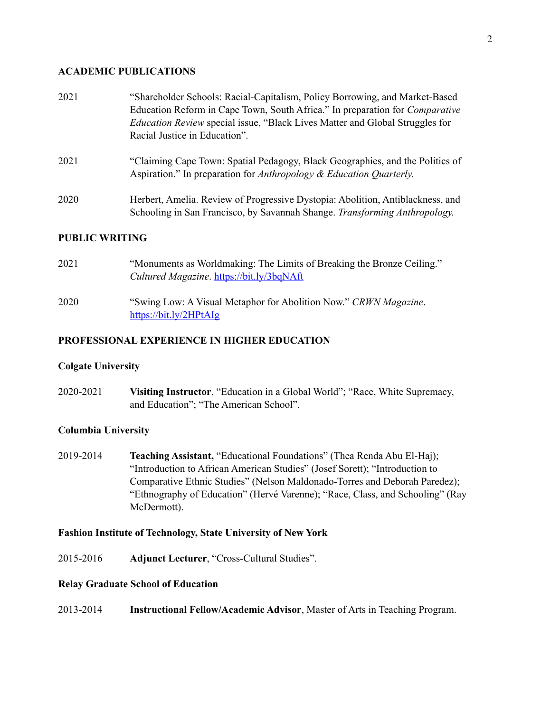#### **ACADEMIC PUBLICATIONS**

| 2021 | "Shareholder Schools: Racial-Capitalism, Policy Borrowing, and Market-Based<br>Education Reform in Cape Town, South Africa." In preparation for <i>Comparative</i><br><i>Education Review</i> special issue, "Black Lives Matter and Global Struggles for<br>Racial Justice in Education". |
|------|--------------------------------------------------------------------------------------------------------------------------------------------------------------------------------------------------------------------------------------------------------------------------------------------|
| 2021 | "Claiming Cape Town: Spatial Pedagogy, Black Geographies, and the Politics of<br>Aspiration." In preparation for Anthropology & Education Quarterly.                                                                                                                                       |
| 2020 | Herbert, Amelia. Review of Progressive Dystopia: Abolition, Antiblackness, and<br>Schooling in San Francisco, by Savannah Shange. Transforming Anthropology.                                                                                                                               |

## **PUBLIC WRITING**

| 2021 | "Monuments as Worldmaking: The Limits of Breaking the Bronze Ceiling."<br>Cultured Magazine. https://bit.ly/3bqNAft |
|------|---------------------------------------------------------------------------------------------------------------------|
| 2020 | "Swing Low: A Visual Metaphor for Abolition Now." CRWN Magazine.<br>https://bit.ly/2HPtAlg                          |

## **PROFESSIONAL EXPERIENCE IN HIGHER EDUCATION**

#### **Colgate University**

2020-2021 **Visiting Instructor**, "Education in a Global World"; "Race, White Supremacy, and Education"; "The American School".

## **Columbia University**

2019-2014 **Teaching Assistant,** "Educational Foundations" (Thea Renda Abu El-Haj); "Introduction to African American Studies" (Josef Sorett); "Introduction to Comparative Ethnic Studies" (Nelson Maldonado-Torres and Deborah Paredez); "Ethnography of Education" (Hervé Varenne); "Race, Class, and Schooling" (Ray McDermott).

## **Fashion Institute of Technology, State University of New York**

2015-2016 **Adjunct Lecturer**, "Cross-Cultural Studies".

## **Relay Graduate School of Education**

2013-2014 **Instructional Fellow/Academic Advisor**, Master of Arts in Teaching Program.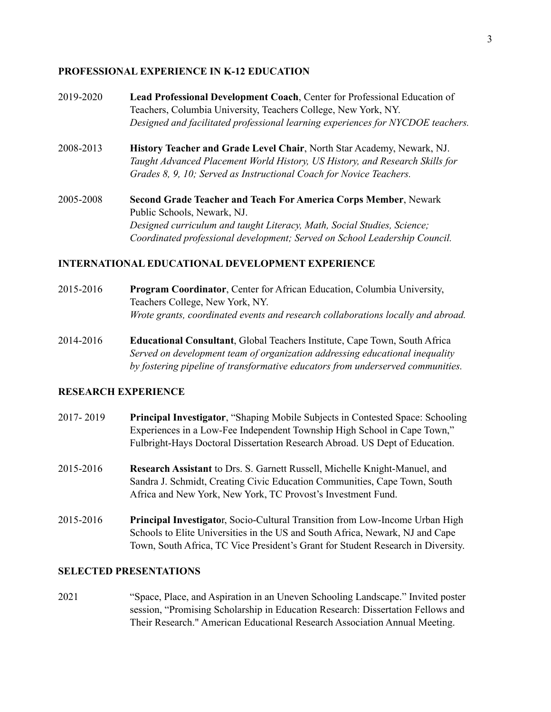#### **PROFESSIONAL EXPERIENCE IN K-12 EDUCATION**

- 2019-2020 **Lead Professional Development Coach**, Center for Professional Education of Teachers, Columbia University, Teachers College, New York, NY. *Designed and facilitated professional learning experiences for NYCDOE teachers.*
- 2008-2013 **History Teacher and Grade Level Chair**, North Star Academy, Newark, NJ. *Taught Advanced Placement World History, US History, and Research Skills for Grades 8, 9, 10; Served as Instructional Coach for Novice Teachers.*
- 2005-2008 **Second Grade Teacher and Teach For America Corps Member**, Newark Public Schools, Newark, NJ. *Designed curriculum and taught Literacy, Math, Social Studies, Science; Coordinated professional development; Served on School Leadership Council.*

#### **INTERNATIONAL EDUCATIONAL DEVELOPMENT EXPERIENCE**

- 2015-2016 **Program Coordinator**, Center for African Education, Columbia University, Teachers College, New York, NY. *Wrote grants, coordinated events and research collaborations locally and abroad.*
- 2014-2016 **Educational Consultant**, Global Teachers Institute, Cape Town, South Africa *Served on development team of organization addressing educational inequality by fostering pipeline of transformative educators from underserved communities.*

#### **RESEARCH EXPERIENCE**

- 2017- 2019 **Principal Investigator**, "Shaping Mobile Subjects in Contested Space: Schooling Experiences in a Low-Fee Independent Township High School in Cape Town," Fulbright-Hays Doctoral Dissertation Research Abroad. US Dept of Education.
- 2015-2016 **Research Assistant** to Drs. S. Garnett Russell, Michelle Knight-Manuel, and Sandra J. Schmidt, Creating Civic Education Communities, Cape Town, South Africa and New York, New York, TC Provost's Investment Fund.
- 2015-2016 **Principal Investigato**r, Socio-Cultural Transition from Low-Income Urban High Schools to Elite Universities in the US and South Africa, Newark, NJ and Cape Town, South Africa, TC Vice President's Grant for Student Research in Diversity.

## **SELECTED PRESENTATIONS**

2021 "Space, Place, and Aspiration in an Uneven Schooling Landscape." Invited poster session, "Promising Scholarship in Education Research: Dissertation Fellows and Their Research." American Educational Research Association Annual Meeting.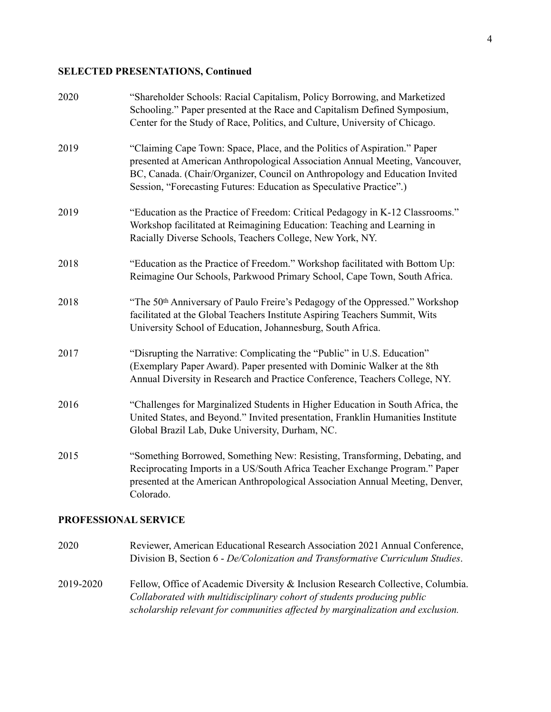#### **SELECTED PRESENTATIONS, Continued**

| 2020                 | "Shareholder Schools: Racial Capitalism, Policy Borrowing, and Marketized<br>Schooling." Paper presented at the Race and Capitalism Defined Symposium,<br>Center for the Study of Race, Politics, and Culture, University of Chicago.                                                                           |  |
|----------------------|-----------------------------------------------------------------------------------------------------------------------------------------------------------------------------------------------------------------------------------------------------------------------------------------------------------------|--|
| 2019                 | "Claiming Cape Town: Space, Place, and the Politics of Aspiration." Paper<br>presented at American Anthropological Association Annual Meeting, Vancouver,<br>BC, Canada. (Chair/Organizer, Council on Anthropology and Education Invited<br>Session, "Forecasting Futures: Education as Speculative Practice".) |  |
| 2019                 | "Education as the Practice of Freedom: Critical Pedagogy in K-12 Classrooms."<br>Workshop facilitated at Reimagining Education: Teaching and Learning in<br>Racially Diverse Schools, Teachers College, New York, NY.                                                                                           |  |
| 2018                 | "Education as the Practice of Freedom." Workshop facilitated with Bottom Up:<br>Reimagine Our Schools, Parkwood Primary School, Cape Town, South Africa.                                                                                                                                                        |  |
| 2018                 | "The 50th Anniversary of Paulo Freire's Pedagogy of the Oppressed." Workshop<br>facilitated at the Global Teachers Institute Aspiring Teachers Summit, Wits<br>University School of Education, Johannesburg, South Africa.                                                                                      |  |
| 2017                 | "Disrupting the Narrative: Complicating the "Public" in U.S. Education"<br>(Exemplary Paper Award). Paper presented with Dominic Walker at the 8th<br>Annual Diversity in Research and Practice Conference, Teachers College, NY.                                                                               |  |
| 2016                 | "Challenges for Marginalized Students in Higher Education in South Africa, the<br>United States, and Beyond." Invited presentation, Franklin Humanities Institute<br>Global Brazil Lab, Duke University, Durham, NC.                                                                                            |  |
| 2015                 | "Something Borrowed, Something New: Resisting, Transforming, Debating, and<br>Reciprocating Imports in a US/South Africa Teacher Exchange Program." Paper<br>presented at the American Anthropological Association Annual Meeting, Denver,<br>Colorado.                                                         |  |
| PROFESSIONAL SERVICE |                                                                                                                                                                                                                                                                                                                 |  |
| 2020                 | Reviewer, American Educational Research Association 2021 Annual Conference,                                                                                                                                                                                                                                     |  |

2019-2020 Fellow, Office of Academic Diversity & Inclusion Research Collective, Columbia. *Collaborated with multidisciplinary cohort of students producing public scholarship relevant for communities affected by marginalization and exclusion.* 

Division B, Section 6 - *De/Colonization and Transformative Curriculum Studies*.